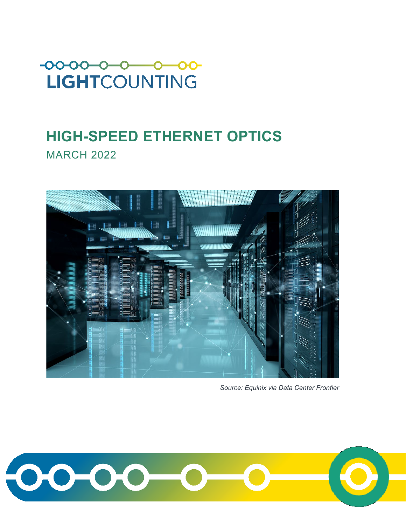

# **HIGH-SPEED ETHERNET OPTICS MARCH 2022**



*Source: Equinix via Data Center Frontier*

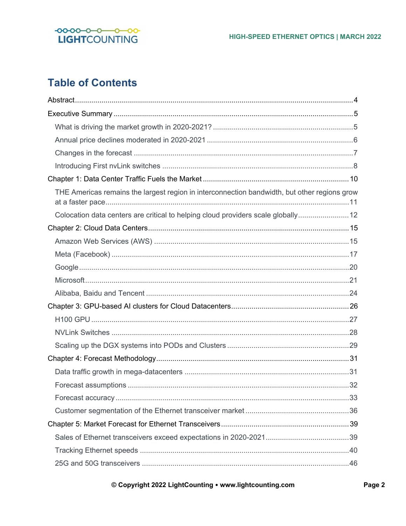

## **Table of Contents**

| THE Americas remains the largest region in interconnection bandwidth, but other regions grow |
|----------------------------------------------------------------------------------------------|
| Colocation data centers are critical to helping cloud providers scale globally 12            |
|                                                                                              |
|                                                                                              |
|                                                                                              |
|                                                                                              |
|                                                                                              |
|                                                                                              |
|                                                                                              |
|                                                                                              |
|                                                                                              |
|                                                                                              |
|                                                                                              |
|                                                                                              |
|                                                                                              |
|                                                                                              |
|                                                                                              |
|                                                                                              |
|                                                                                              |
|                                                                                              |
|                                                                                              |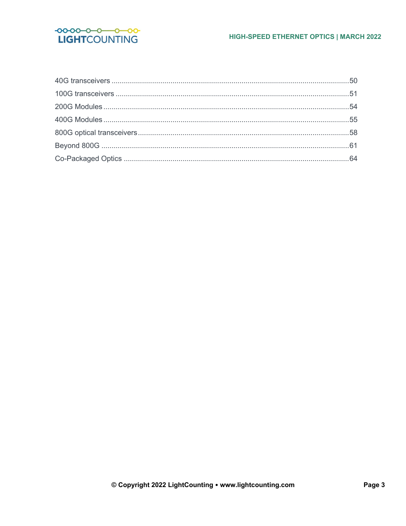